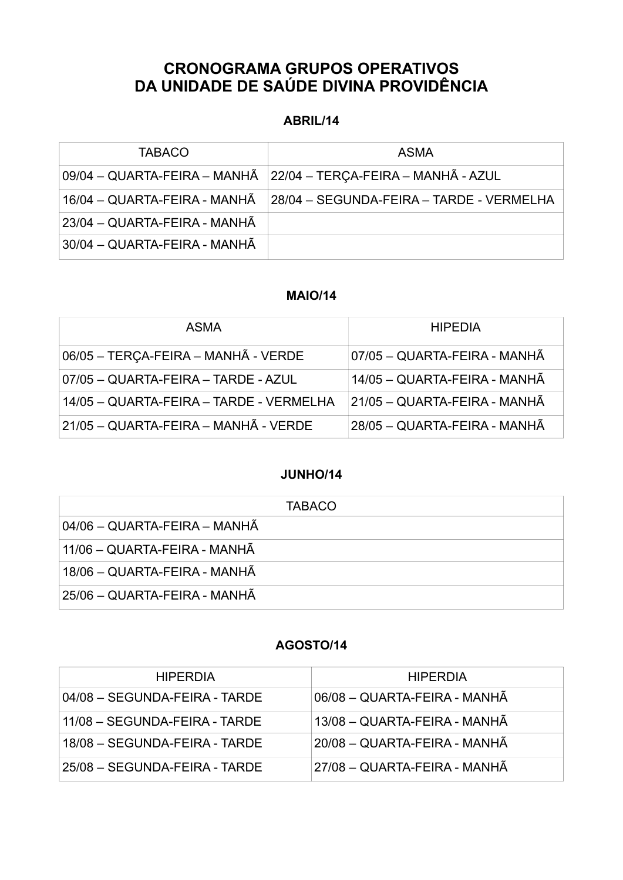# **CRONOGRAMA GRUPOS OPERATIVOS DA UNIDADE DE SAÚDE DIVINA PROVIDÊNCIA**

### **ABRIL/14**

| <b>TABACO</b>                | <b>ASMA</b>                                                     |
|------------------------------|-----------------------------------------------------------------|
|                              | 09/04 - QUARTA-FEIRA - MANHÃ 22/04 - TERÇA-FEIRA - MANHÃ - AZUL |
| 16/04 - QUARTA-FEIRA - MANHÃ | 28/04 - SEGUNDA-FEIRA - TARDE - VERMELHA                        |
| 23/04 - QUARTA-FEIRA - MANHÃ |                                                                 |
| 30/04 - QUARTA-FEIRA - MANHÃ |                                                                 |

#### **MAIO/14**

| <b>ASMA</b>                             | <b>HIPEDIA</b>               |
|-----------------------------------------|------------------------------|
| 06/05 - TERÇA-FEIRA - MANHÃ - VERDE     | 07/05 - QUARTA-FEIRA - MANHÃ |
| 07/05 - QUARTA-FEIRA - TARDE - AZUL     | 14/05 - QUARTA-FEIRA - MANHÃ |
| 14/05 - QUARTA-FEIRA - TARDE - VERMELHA | 21/05 - QUARTA-FEIRA - MANHÃ |
| 21/05 - QUARTA-FEIRA - MANHÃ - VERDE    | 28/05 - QUARTA-FEIRA - MANHÃ |

#### **JUNHO/14**

| <b>TABACO</b>                |
|------------------------------|
| 04/06 - QUARTA-FEIRA - MANHÃ |
| 11/06 – QUARTA-FEIRA - MANHÃ |
| 18/06 - QUARTA-FEIRA - MANHÃ |
| 25/06 – QUARTA-FEIRA - MANHÃ |

#### **AGOSTO/14**

| <b>HIPERDIA</b>               | <b>HIPERDIA</b>              |
|-------------------------------|------------------------------|
| 04/08 - SEGUNDA-FEIRA - TARDE | 06/08 - QUARTA-FEIRA - MANHÃ |
| 11/08 - SEGUNDA-FEIRA - TARDE | 13/08 - QUARTA-FEIRA - MANHÃ |
| 18/08 - SEGUNDA-FEIRA - TARDE | 20/08 - QUARTA-FEIRA - MANHÃ |
| 25/08 - SEGUNDA-FEIRA - TARDE | 27/08 - QUARTA-FEIRA - MANHÃ |